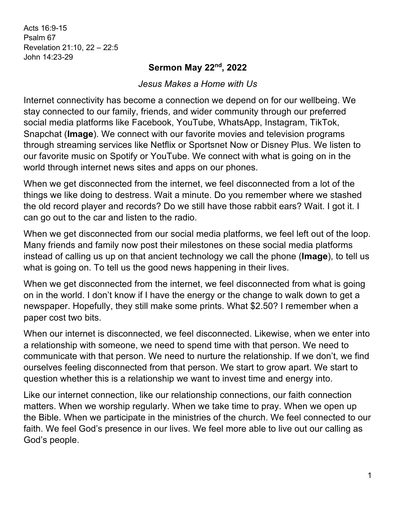Acts 16:9-15 Psalm 67 Revelation 21:10, 22 – 22:5 John 14:23-29

## **Sermon May 22nd, 2022**

*Jesus Makes a Home with Us*

Internet connectivity has become a connection we depend on for our wellbeing. We stay connected to our family, friends, and wider community through our preferred social media platforms like Facebook, YouTube, WhatsApp, Instagram, TikTok, Snapchat (**Image**). We connect with our favorite movies and television programs through streaming services like Netflix or Sportsnet Now or Disney Plus. We listen to our favorite music on Spotify or YouTube. We connect with what is going on in the world through internet news sites and apps on our phones.

When we get disconnected from the internet, we feel disconnected from a lot of the things we like doing to destress. Wait a minute. Do you remember where we stashed the old record player and records? Do we still have those rabbit ears? Wait. I got it. I can go out to the car and listen to the radio.

When we get disconnected from our social media platforms, we feel left out of the loop. Many friends and family now post their milestones on these social media platforms instead of calling us up on that ancient technology we call the phone (**Image**), to tell us what is going on. To tell us the good news happening in their lives.

When we get disconnected from the internet, we feel disconnected from what is going on in the world. I don't know if I have the energy or the change to walk down to get a newspaper. Hopefully, they still make some prints. What \$2.50? I remember when a paper cost two bits.

When our internet is disconnected, we feel disconnected. Likewise, when we enter into a relationship with someone, we need to spend time with that person. We need to communicate with that person. We need to nurture the relationship. If we don't, we find ourselves feeling disconnected from that person. We start to grow apart. We start to question whether this is a relationship we want to invest time and energy into.

Like our internet connection, like our relationship connections, our faith connection matters. When we worship regularly. When we take time to pray. When we open up the Bible. When we participate in the ministries of the church. We feel connected to our faith. We feel God's presence in our lives. We feel more able to live out our calling as God's people.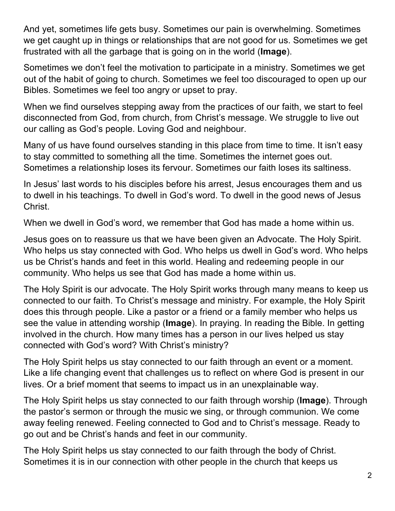And yet, sometimes life gets busy. Sometimes our pain is overwhelming. Sometimes we get caught up in things or relationships that are not good for us. Sometimes we get frustrated with all the garbage that is going on in the world (**Image**).

Sometimes we don't feel the motivation to participate in a ministry. Sometimes we get out of the habit of going to church. Sometimes we feel too discouraged to open up our Bibles. Sometimes we feel too angry or upset to pray.

When we find ourselves stepping away from the practices of our faith, we start to feel disconnected from God, from church, from Christ's message. We struggle to live out our calling as God's people. Loving God and neighbour.

Many of us have found ourselves standing in this place from time to time. It isn't easy to stay committed to something all the time. Sometimes the internet goes out. Sometimes a relationship loses its fervour. Sometimes our faith loses its saltiness.

In Jesus' last words to his disciples before his arrest, Jesus encourages them and us to dwell in his teachings. To dwell in God's word. To dwell in the good news of Jesus Christ.

When we dwell in God's word, we remember that God has made a home within us.

Jesus goes on to reassure us that we have been given an Advocate. The Holy Spirit. Who helps us stay connected with God. Who helps us dwell in God's word. Who helps us be Christ's hands and feet in this world. Healing and redeeming people in our community. Who helps us see that God has made a home within us.

The Holy Spirit is our advocate. The Holy Spirit works through many means to keep us connected to our faith. To Christ's message and ministry. For example, the Holy Spirit does this through people. Like a pastor or a friend or a family member who helps us see the value in attending worship (**Image**). In praying. In reading the Bible. In getting involved in the church. How many times has a person in our lives helped us stay connected with God's word? With Christ's ministry?

The Holy Spirit helps us stay connected to our faith through an event or a moment. Like a life changing event that challenges us to reflect on where God is present in our lives. Or a brief moment that seems to impact us in an unexplainable way.

The Holy Spirit helps us stay connected to our faith through worship (**Image**). Through the pastor's sermon or through the music we sing, or through communion. We come away feeling renewed. Feeling connected to God and to Christ's message. Ready to go out and be Christ's hands and feet in our community.

The Holy Spirit helps us stay connected to our faith through the body of Christ. Sometimes it is in our connection with other people in the church that keeps us